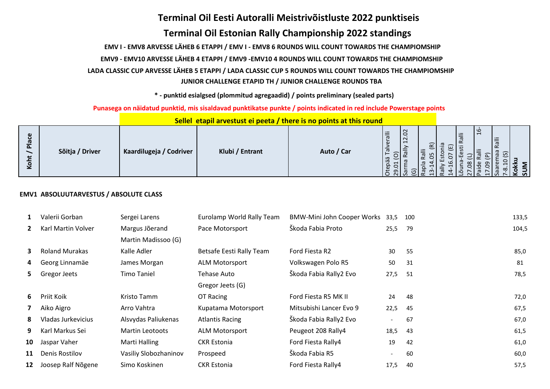# **Terminal Oil Eesti Autoralli Meistrivõistluste 2022 punktiseis**

# **Terminal Oil Estonian Rally Championship 2022 standings**

 **EMV I - EMV8 ARVESSE LÄHEB 6 ETAPPI / EMV I - EMV8 6 ROUNDS WILL COUNT TOWARDS THE CHAMPIOMSHIP**

 **EMV9 - EMV10 ARVESSE LÄHEB 4 ETAPPI / EMV9 -EMV10 4 ROUNDS WILL COUNT TOWARDS THE CHAMPIOMSHIP**

 **LADA CLASSIC CUP ARVESSE LÄHEB 5 ETAPPI / LADA CLASSIC CUP 5 ROUNDS WILL COUNT TOWARDS THE CHAMPIOMSHIP JUNIOR CHALLENGE ETAPID TH / JUNIOR CHALLENGE ROUNDS TBA**

 **\* - punktid esialgsed (plommitud agregaadid) / points preliminary (sealed parts)**

 **Punasega on näidatud punktid, mis sisaldavad punktikatse punkte / points indicated in red include Powerstage points**

|                                                        |                 |                         | <u> </u>        |            |                                                                                                                                              |    |                                        |                                  |        |
|--------------------------------------------------------|-----------------|-------------------------|-----------------|------------|----------------------------------------------------------------------------------------------------------------------------------------------|----|----------------------------------------|----------------------------------|--------|
| $\mathbf \omega$<br>ີ<br>$\frac{a}{2}$<br>ى<br>ີ<br>x. | Sõitja / Driver | Kaardilugeja / Codriver | Klubi / Entrant | Auto / Car | $\Omega$<br>₹<br>$\sim$<br>$\overline{ }$<br>ധ<br>$\overline{5}$<br>$\sim$<br>≂<br>ä<br>-<br>ëq<br>ധ<br>$\overline{5}$<br>െ<br>$\sim$ $\sim$ | స్ | $\ddot{=}$<br>$\overline{\phantom{0}}$ | ഥ<br>Ralli<br>$\widehat{\omega}$ | ¬<br>ದ |

 **Sellel etapil arvestust ei peeta / there is no points at this round**

## **EMV1 ABSOLUUTARVESTUS / ABSOLUTE CLASS**

| Valerii Gorban        | Sergei Larens          | Eurolamp World Rally Team | BMW-Mini John Cooper Works 33,5 |                          | 100  | 133,5 |
|-----------------------|------------------------|---------------------------|---------------------------------|--------------------------|------|-------|
| Karl Martin Volver    | Margus Jõerand         | Pace Motorsport           | Škoda Fabia Proto               | 25,5                     | - 79 | 104,5 |
|                       | Martin Madissoo (G)    |                           |                                 |                          |      |       |
| <b>Roland Murakas</b> | Kalle Adler            | Betsafe Eesti Rally Team  | Ford Fiesta R2                  | 30                       | 55   | 85,0  |
| Georg Linnamäe        | James Morgan           | <b>ALM Motorsport</b>     | Volkswagen Polo R5              | 50                       | 31   | 81    |
| Gregor Jeets          | <b>Timo Taniel</b>     | Tehase Auto               | Škoda Fabia Rally2 Evo          | 27,5                     |      | 78,5  |
|                       |                        | Gregor Jeets (G)          |                                 |                          |      |       |
| Priit Koik            | Kristo Tamm            | OT Racing                 | Ford Fiesta R5 MK II            | 24                       | 48   | 72,0  |
| Aiko Aigro            | Arro Vahtra            | Kupatama Motorsport       | Mitsubishi Lancer Evo 9         | 22,5                     | -45  | 67,5  |
| Vladas Jurkevicius    | Alsvydas Paliukenas    | <b>Atlantis Racing</b>    | Škoda Fabia Rally2 Evo          | $\overline{\phantom{a}}$ | 67   | 67,0  |
| Karl Markus Sei       | <b>Martin Leotoots</b> | <b>ALM Motorsport</b>     | Peugeot 208 Rally4              | 18,5                     | 43   | 61,5  |
| Jaspar Vaher          | Marti Halling          | <b>CKR Estonia</b>        | Ford Fiesta Rally4              | 19                       | 42   | 61,0  |
| Denis Rostilov        | Vasiliy Slobozhaninov  | Prospeed                  | Škoda Fabia R5                  | $\overline{\phantom{a}}$ | 60   | 60,0  |
| Joosep Ralf Nõgene    | Simo Koskinen          | <b>CKR Estonia</b>        | Ford Fiesta Rally4              | 17,5                     | 40   | 57,5  |
|                       |                        |                           |                                 |                          |      | 51    |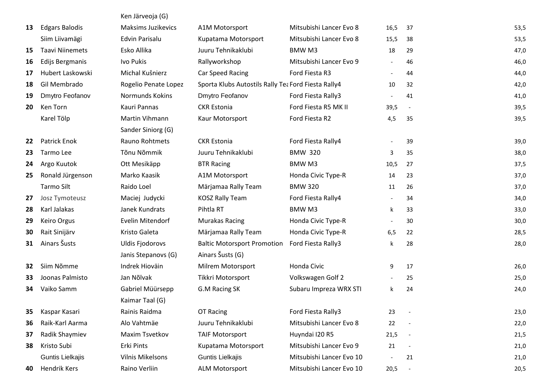|    |                        | Ken Järveoja (G)          |                                                     |                          |                          |                          |      |
|----|------------------------|---------------------------|-----------------------------------------------------|--------------------------|--------------------------|--------------------------|------|
| 13 | <b>Edgars Balodis</b>  | <b>Maksims Juzikevics</b> | A1M Motorsport                                      | Mitsubishi Lancer Evo 8  | 16,5                     | 37                       | 53,5 |
|    | Siim Liivamägi         | <b>Edvin Parisalu</b>     | Kupatama Motorsport                                 | Mitsubishi Lancer Evo 8  | 15,5                     | 38                       | 53,5 |
| 15 | <b>Taavi Niinemets</b> | Esko Allika               | Juuru Tehnikaklubi                                  | <b>BMWM3</b>             | 18                       | 29                       | 47,0 |
| 16 | Edijs Bergmanis        | Ivo Pukis                 | Rallyworkshop                                       | Mitsubishi Lancer Evo 9  | $\overline{\phantom{a}}$ | 46                       | 46,0 |
| 17 | Hubert Laskowski       | Michal Kušnierz           | Car Speed Racing                                    | Ford Fiesta R3           |                          | 44                       | 44,0 |
| 18 | Gil Membrado           | Rogelio Penate Lopez      | Sporta Klubs Autostils Rally Tea Ford Fiesta Rally4 |                          | 10                       | 32                       | 42,0 |
| 19 | Dmytro Feofanov        | Normunds Kokins           | Dmytro Feofanov                                     | Ford Fiesta Rally3       |                          | 41                       | 41,0 |
| 20 | Ken Torn               | Kauri Pannas              | <b>CKR</b> Estonia                                  | Ford Fiesta R5 MK II     | 39,5                     | $\overline{\phantom{a}}$ | 39,5 |
|    | Karel Tölp             | Martin Vihmann            | Kaur Motorsport                                     | Ford Fiesta R2           | 4,5                      | 35                       | 39,5 |
|    |                        | Sander Siniorg (G)        |                                                     |                          |                          |                          |      |
| 22 | <b>Patrick Enok</b>    | Rauno Rohtmets            | <b>CKR Estonia</b>                                  | Ford Fiesta Rally4       |                          | 39                       | 39,0 |
| 23 | Tarmo Lee              | Tõnu Nõmmik               | Juuru Tehnikaklubi                                  | <b>BMW 320</b>           | 3                        | 35                       | 38,0 |
| 24 | Argo Kuutok            | Ott Mesikäpp              | <b>BTR Racing</b>                                   | <b>BMWM3</b>             | 10,5                     | 27                       | 37,5 |
| 25 | Ronald Jürgenson       | Marko Kaasik              | A1M Motorsport                                      | Honda Civic Type-R       | 14                       | 23                       | 37,0 |
|    | <b>Tarmo Silt</b>      | Raido Loel                | Märjamaa Rally Team                                 | <b>BMW 320</b>           | 11                       | 26                       | 37,0 |
| 27 | Josz Tymoteusz         | Maciej Judycki            | <b>KOSZ Rally Team</b>                              | Ford Fiesta Rally4       |                          | 34                       | 34,0 |
| 28 | Karl Jalakas           | Janek Kundrats            | Pihtla RT                                           | <b>BMWM3</b>             | k                        | 33                       | 33,0 |
| 29 | Keiro Orgus            | Evelin Mitendorf          | <b>Murakas Racing</b>                               | Honda Civic Type-R       |                          | 30                       | 30,0 |
| 30 | Rait Sinijärv          | Kristo Galeta             | Märjamaa Rally Team                                 | Honda Civic Type-R       | 6,5                      | 22                       | 28,5 |
| 31 | Ainars Šusts           | <b>Uldis Fjodorovs</b>    | <b>Baltic Motorsport Promotion</b>                  | Ford Fiesta Rally3       | k                        | 28                       | 28,0 |
|    |                        | Janis Stepanovs (G)       | Ainars Šusts (G)                                    |                          |                          |                          |      |
| 32 | Siim Nõmme             | Indrek Hioväin            | Milrem Motorsport                                   | Honda Civic              | 9                        | 17                       | 26,0 |
| 33 | Joonas Palmisto        | Jan Nõlvak                | Tikkri Motorsport                                   | Volkswagen Golf 2        |                          | 25                       | 25,0 |
| 34 | Vaiko Samm             | Gabriel Müürsepp          | G.M Racing SK                                       | Subaru Impreza WRX STI   | k                        | 24                       | 24,0 |
|    |                        | Kaimar Taal (G)           |                                                     |                          |                          |                          |      |
| 35 | Kaspar Kasari          | Rainis Raidma             | OT Racing                                           | Ford Fiesta Rally3       | 23                       | $\overline{\phantom{a}}$ | 23,0 |
| 36 | Raik-Karl Aarma        | Alo Vahtmäe               | Juuru Tehnikaklubi                                  | Mitsubishi Lancer Evo 8  | 22                       |                          | 22,0 |
| 37 | Radik Shaymiev         | Maxim Tsvetkov            | <b>TAIF Motorsport</b>                              | Huyndai I20 R5           | 21,5                     | $\overline{\phantom{a}}$ | 21,5 |
| 38 | Kristo Subi            | Erki Pints                | Kupatama Motorsport                                 | Mitsubishi Lancer Evo 9  | 21                       |                          | 21,0 |
|    | Guntis Lielkajis       | Vilnis Mikelsons          | Guntis Lielkajis                                    | Mitsubishi Lancer Evo 10 |                          | 21                       | 21,0 |
| 40 | Hendrik Kers           | Raino Verliin             | <b>ALM Motorsport</b>                               | Mitsubishi Lancer Evo 10 | 20,5                     | $\overline{\phantom{a}}$ | 20,5 |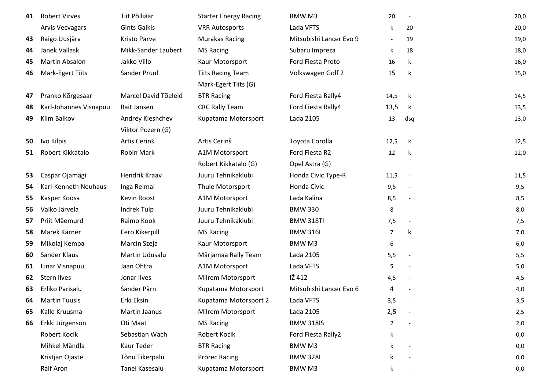| 41 | <b>Robert Virves</b>   | Tiit Põlliäär        | <b>Starter Energy Racing</b> | BMW M3                  | 20                       | $\overline{\phantom{a}}$ | 20,0 |
|----|------------------------|----------------------|------------------------------|-------------------------|--------------------------|--------------------------|------|
|    | <b>Arvis Vecvagars</b> | <b>Gints Gaikis</b>  | <b>VRR Autosports</b>        | Lada VFTS               |                          | 20                       | 20,0 |
| 43 | Raigo Uusjärv          | Kristo Parve         | <b>Murakas Racing</b>        | Mitsubishi Lancer Evo 9 | $\overline{\phantom{a}}$ | 19                       | 19,0 |
| 44 | Janek Vallask          | Mikk-Sander Laubert  | <b>MS Racing</b>             | Subaru Impreza          | k                        | 18                       | 18,0 |
| 45 | Martin Absalon         | Jakko Viilo          | Kaur Motorsport              | Ford Fiesta Proto       | 16                       | k                        | 16,0 |
| 46 | Mark-Egert Tiits       | Sander Pruul         | <b>Tiits Racing Team</b>     | Volkswagen Golf 2       | 15                       | k                        | 15,0 |
|    |                        |                      | Mark-Egert Tiits (G)         |                         |                          |                          |      |
| 47 | Pranko Kõrgesaar       | Marcel David Tõeleid | <b>BTR Racing</b>            | Ford Fiesta Rally4      | 14,5                     | k                        | 14,5 |
| 48 | Karl-Johannes Visnapuu | Rait Jansen          | <b>CRC Rally Team</b>        | Ford Fiesta Rally4      | 13,5                     | k                        | 13,5 |
| 49 | Klim Baikov            | Andrey Kleshchev     | Kupatama Motorsport          | Lada 2105               | 13                       | dsq                      | 13,0 |
|    |                        | Viktor Pozern (G)    |                              |                         |                          |                          |      |
| 50 | Ivo Kilpis             | Artis Cerinš         | Artis Cerinš                 | Toyota Corolla          | 12,5                     | $\mathsf k$              | 12,5 |
| 51 | Robert Kikkatalo       | Robin Mark           | A1M Motorsport               | Ford Fiesta R2          | 12                       | k                        | 12,0 |
|    |                        |                      | Robert Kikkatalo (G)         | Opel Astra (G)          |                          |                          |      |
| 53 | Caspar Ojamägi         | Hendrik Kraav        | Juuru Tehnikaklubi           | Honda Civic Type-R      | 11,5                     |                          | 11,5 |
| 54 | Karl-Kenneth Neuhaus   | Inga Reimal          | Thule Motorsport             | Honda Civic             | 9,5                      | $\overline{\phantom{a}}$ | 9,5  |
| 55 | Kasper Koosa           | Kevin Roost          | A1M Motorsport               | Lada Kalina             | 8,5                      | $\overline{\phantom{a}}$ | 8,5  |
| 56 | Vaiko Järvela          | Indrek Tulp          | Juuru Tehnikaklubi           | <b>BMW 330</b>          | 8                        |                          | 8,0  |
| 57 | Priit Mäemurd          | Raimo Kook           | Juuru Tehnikaklubi           | <b>BMW 318TI</b>        | 7,5                      |                          | 7,5  |
| 58 | Marek Kärner           | Eero Kikerpill       | <b>MS Racing</b>             | <b>BMW 316I</b>         | 7                        | k                        | 7,0  |
| 59 | Mikolaj Kempa          | Marcin Szeja         | Kaur Motorsport              | BMW M3                  | 6                        |                          | 6,0  |
| 60 | Sander Klaus           | Martin Udusalu       | Märjamaa Rally Team          | Lada 2105               | 5,5                      |                          | 5,5  |
| 61 | Einar Visnapuu         | Jaan Ohtra           | A1M Motorsport               | Lada VFTS               | 5                        | $\overline{\phantom{a}}$ | 5,0  |
| 62 | <b>Stern Ilves</b>     | Jonar Ilves          | Milrem Motorsport            | IŽ 412                  | 4,5                      |                          | 4,5  |
| 63 | Erliko Parisalu        | Sander Pärn          | Kupatama Motorsport          | Mitsubishi Lancer Evo 6 | 4                        |                          | 4,0  |
| 64 | <b>Martin Tuusis</b>   | Erki Eksin           | Kupatama Motorsport 2        | Lada VFTS               | 3,5                      |                          | 3,5  |
| 65 | Kalle Kruusma          | Martin Jaanus        | Milrem Motorsport            | Lada 2105               | 2,5                      |                          | 2,5  |
| 66 | Erkki Jürgenson        | Oti Maat             | <b>MS Racing</b>             | <b>BMW 318IS</b>        | $\overline{2}$           |                          | 2,0  |
|    | Robert Kocik           | Sebastian Wach       | Robert Kocik                 | Ford Fiesta Rally2      | k                        |                          | 0,0  |
|    | Mihkel Mändla          | Kaur Teder           | <b>BTR Racing</b>            | BMW M3                  | k                        |                          | 0,0  |
|    | Kristjan Ojaste        | Tõnu Tikerpalu       | <b>Prorec Racing</b>         | <b>BMW 328I</b>         |                          |                          | 0,0  |
|    | Ralf Aron              | Tanel Kasesalu       | Kupatama Motorsport          | BMW M3                  | k                        |                          | 0,0  |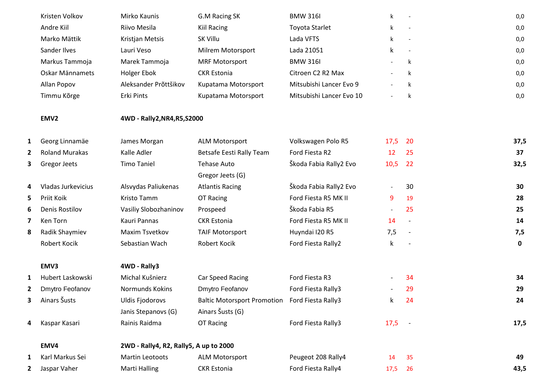|   | Kristen Volkov        | Mirko Kaunis                           | G.M Racing SK                      | <b>BMW 316I</b>          | k                        |                          | 0,0         |
|---|-----------------------|----------------------------------------|------------------------------------|--------------------------|--------------------------|--------------------------|-------------|
|   | Andre Kiil            | Riivo Mesila                           | <b>Kiil Racing</b>                 | <b>Toyota Starlet</b>    | k                        |                          | 0,0         |
|   |                       |                                        |                                    |                          |                          |                          |             |
|   | Marko Mättik          | Kristjan Metsis                        | SK Villu                           | Lada VFTS                | k                        | $\overline{\phantom{a}}$ | 0,0         |
|   | Sander Ilves          | Lauri Veso                             | Milrem Motorsport                  | Lada 21051               | k                        |                          | 0,0         |
|   | Markus Tammoja        | Marek Tammoja                          | <b>MRF Motorsport</b>              | <b>BMW 316I</b>          |                          | k                        | 0,0         |
|   | Oskar Männamets       | Holger Ebok                            | <b>CKR Estonia</b>                 | Citroen C2 R2 Max        |                          | k                        | 0,0         |
|   | Allan Popov           | Aleksander Prõttšikov                  | Kupatama Motorsport                | Mitsubishi Lancer Evo 9  | $\blacksquare$           | k                        | 0,0         |
|   | Timmu Kõrge           | Erki Pints                             | Kupatama Motorsport                | Mitsubishi Lancer Evo 10 |                          | k                        | 0,0         |
|   | EMV <sub>2</sub>      | 4WD - Rally2, NR4, R5, S2000           |                                    |                          |                          |                          |             |
| 1 | Georg Linnamäe        | James Morgan                           | <b>ALM Motorsport</b>              | Volkswagen Polo R5       | 17,5                     | 20                       | 37,5        |
| 2 | <b>Roland Murakas</b> | Kalle Adler                            | Betsafe Eesti Rally Team           | Ford Fiesta R2           | 12                       | 25                       | 37          |
| 3 | Gregor Jeets          | <b>Timo Taniel</b>                     | <b>Tehase Auto</b>                 | Škoda Fabia Rally2 Evo   | 10,5                     | 22                       | 32,5        |
|   |                       |                                        | Gregor Jeets (G)                   |                          |                          |                          |             |
| 4 | Vladas Jurkevicius    | Alsvydas Paliukenas                    | <b>Atlantis Racing</b>             | Škoda Fabia Rally2 Evo   | $\overline{\phantom{a}}$ | 30                       | 30          |
| 5 | Priit Koik            | Kristo Tamm                            | OT Racing                          | Ford Fiesta R5 MK II     | 9                        | 19                       | 28          |
| 6 | <b>Denis Rostilov</b> | Vasiliy Slobozhaninov                  | Prospeed                           | Škoda Fabia R5           | $\overline{\phantom{a}}$ | 25                       | 25          |
| 7 | Ken Torn              | Kauri Pannas                           | <b>CKR</b> Estonia                 | Ford Fiesta R5 MK II     | 14                       | $\overline{\phantom{a}}$ | 14          |
| 8 | Radik Shaymiev        | Maxim Tsvetkov                         | <b>TAIF Motorsport</b>             | Huyndai I20 R5           | 7,5                      | $\overline{\phantom{a}}$ | 7,5         |
|   | Robert Kocik          | Sebastian Wach                         | Robert Kocik                       | Ford Fiesta Rally2       | k                        |                          | $\mathbf 0$ |
|   | EMV3                  | 4WD - Rally3                           |                                    |                          |                          |                          |             |
| 1 | Hubert Laskowski      | Michal Kušnierz                        | Car Speed Racing                   | Ford Fiesta R3           |                          | 34                       | 34          |
| 2 | Dmytro Feofanov       | Normunds Kokins                        | Dmytro Feofanov                    | Ford Fiesta Rally3       |                          | 29                       | 29          |
| з | Ainars Šusts          | <b>Uldis Fjodorovs</b>                 | <b>Baltic Motorsport Promotion</b> | Ford Fiesta Rally3       | k                        | 24                       | 24          |
|   |                       | Janis Stepanovs (G)                    | Ainars Šusts (G)                   |                          |                          |                          |             |
| 4 | Kaspar Kasari         | Rainis Raidma                          | OT Racing                          | Ford Fiesta Rally3       | 17,5                     | $\sim$ $-$               | 17,5        |
|   | EMV4                  | 2WD - Rally4, R2, Rally5, A up to 2000 |                                    |                          |                          |                          |             |
| 1 | Karl Markus Sei       | Martin Leotoots                        | <b>ALM Motorsport</b>              | Peugeot 208 Rally4       | 14                       | 35                       | 49          |
| 2 | Jaspar Vaher          | Marti Halling                          | <b>CKR Estonia</b>                 | Ford Fiesta Rally4       | 17,5                     | 26                       | 43,5        |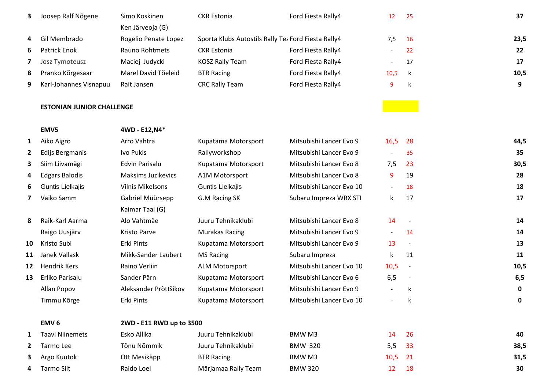| 3.           | Joosep Ralf Nõgene               | Simo Koskinen                            | <b>CKR</b> Estonia                                  | Ford Fiesta Rally4       | 12                       | 25                       | 37          |
|--------------|----------------------------------|------------------------------------------|-----------------------------------------------------|--------------------------|--------------------------|--------------------------|-------------|
| 4            | Gil Membrado                     | Ken Järveoja (G)<br>Rogelio Penate Lopez | Sporta Klubs Autostils Rally Tea Ford Fiesta Rally4 |                          | 7,5                      | 16                       | 23,5        |
| 6            | Patrick Enok                     | Rauno Rohtmets                           | <b>CKR Estonia</b>                                  | Ford Fiesta Rally4       | $\overline{\phantom{a}}$ | 22                       | 22          |
| 7            | Josz Tymoteusz                   | Maciej Judycki                           | <b>KOSZ Rally Team</b>                              | Ford Fiesta Rally4       |                          | 17                       | 17          |
| 8            | Pranko Kõrgesaar                 | Marel David Tõeleid                      | <b>BTR Racing</b>                                   | Ford Fiesta Rally4       | 10,5                     | $\mathsf k$              | 10,5        |
| 9            | Karl-Johannes Visnapuu           | Rait Jansen                              | <b>CRC Rally Team</b>                               | Ford Fiesta Rally4       | 9                        | k                        | 9           |
|              |                                  |                                          |                                                     |                          |                          |                          |             |
|              | <b>ESTONIAN JUNIOR CHALLENGE</b> |                                          |                                                     |                          |                          |                          |             |
|              | EMV5                             | 4WD - E12, N4*                           |                                                     |                          |                          |                          |             |
| $\mathbf{1}$ | Aiko Aigro                       | Arro Vahtra                              | Kupatama Motorsport                                 | Mitsubishi Lancer Evo 9  | 16,5                     | 28                       | 44,5        |
| $\mathbf{2}$ | Edijs Bergmanis                  | Ivo Pukis                                | Rallyworkshop                                       | Mitsubishi Lancer Evo 9  | $\blacksquare$           | 35                       | 35          |
| з            | Siim Liivamägi                   | Edvin Parisalu                           | Kupatama Motorsport                                 | Mitsubishi Lancer Evo 8  | 7,5                      | 23                       | 30,5        |
| 4            | <b>Edgars Balodis</b>            | <b>Maksims Juzikevics</b>                | A1M Motorsport                                      | Mitsubishi Lancer Evo 8  | 9                        | 19                       | 28          |
| 6            | Guntis Lielkajis                 | <b>Vilnis Mikelsons</b>                  | Guntis Lielkajis                                    | Mitsubishi Lancer Evo 10 | $\overline{\phantom{a}}$ | 18                       | 18          |
| 7            | Vaiko Samm                       | Gabriel Müürsepp                         | G.M Racing SK                                       | Subaru Impreza WRX STI   | k                        | 17                       | 17          |
|              |                                  | Kaimar Taal (G)                          |                                                     |                          |                          |                          |             |
| 8            | Raik-Karl Aarma                  | Alo Vahtmäe                              | Juuru Tehnikaklubi                                  | Mitsubishi Lancer Evo 8  | 14                       |                          | 14          |
|              | Raigo Uusjärv                    | Kristo Parve                             | <b>Murakas Racing</b>                               | Mitsubishi Lancer Evo 9  | $-$                      | 14                       | 14          |
| 10           | Kristo Subi                      | Erki Pints                               | Kupatama Motorsport                                 | Mitsubishi Lancer Evo 9  | 13                       | $\overline{\phantom{a}}$ | 13          |
| 11           | Janek Vallask                    | Mikk-Sander Laubert                      | <b>MS Racing</b>                                    | Subaru Impreza           | k                        | 11                       | 11          |
| 12           | <b>Hendrik Kers</b>              | Raino Verliin                            | <b>ALM Motorsport</b>                               | Mitsubishi Lancer Evo 10 | 10,5                     | $\overline{a}$           | 10,5        |
| 13           | Erliko Parisalu                  | Sander Pärn                              | Kupatama Motorsport                                 | Mitsubishi Lancer Evo 6  | 6,5                      | $\overline{\phantom{a}}$ | 6, 5        |
|              | Allan Popov                      | Aleksander Prõttšikov                    | Kupatama Motorsport                                 | Mitsubishi Lancer Evo 9  | $\overline{\phantom{a}}$ | k                        | $\mathbf 0$ |
|              | Timmu Kõrge                      | Erki Pints                               | Kupatama Motorsport                                 | Mitsubishi Lancer Evo 10 |                          | k                        | 0           |
|              | EMV <sub>6</sub>                 | 2WD - E11 RWD up to 3500                 |                                                     |                          |                          |                          |             |
| 1            | <b>Taavi Niinemets</b>           | Esko Allika                              | Juuru Tehnikaklubi                                  | BMW M3                   | 14                       | 26                       | 40          |
| $\mathbf{2}$ | Tarmo Lee                        | Tõnu Nõmmik                              | Juuru Tehnikaklubi                                  | <b>BMW 320</b>           | 5,5                      | 33                       | 38,5        |
| 3.           | Argo Kuutok                      | Ott Mesikäpp                             | <b>BTR Racing</b>                                   | BMW M3                   | 10,5                     | 21                       | 31,5        |
| 4            | Tarmo Silt                       | Raido Loel                               | Märjamaa Rally Team                                 | <b>BMW 320</b>           | 12                       | 18                       | 30          |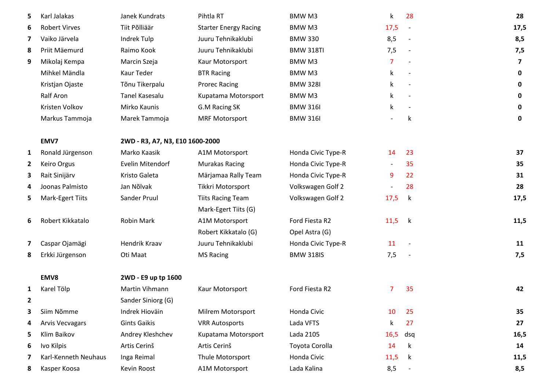| 5. | Karl Jalakas            | Janek Kundrats                  | Pihtla RT                    | BMW M3             | $\mathsf{k}$ | 28                       | 28                      |
|----|-------------------------|---------------------------------|------------------------------|--------------------|--------------|--------------------------|-------------------------|
| 6  | <b>Robert Virves</b>    | Tiit Põlliäär                   | <b>Starter Energy Racing</b> | BMW M3             | 17,5         | $\overline{\phantom{a}}$ | 17,5                    |
| 7  | Vaiko Järvela           | Indrek Tulp                     | Juuru Tehnikaklubi           | <b>BMW 330</b>     | 8,5          |                          | 8,5                     |
| 8  | Priit Mäemurd           | Raimo Kook                      | Juuru Tehnikaklubi           | <b>BMW 318TI</b>   | 7,5          | $\overline{\phantom{a}}$ | 7,5                     |
| 9  | Mikolaj Kempa           | Marcin Szeja                    | Kaur Motorsport              | BMW M3             | 7            |                          | $\overline{\mathbf{z}}$ |
|    | Mihkel Mändla           | Kaur Teder                      | <b>BTR Racing</b>            | BMW M3             | k            |                          | $\mathbf 0$             |
|    | Kristjan Ojaste         | Tõnu Tikerpalu                  | <b>Prorec Racing</b>         | <b>BMW 328I</b>    | k            |                          | $\mathbf 0$             |
|    | Ralf Aron               | Tanel Kasesalu                  | Kupatama Motorsport          | BMW M3             | k.           |                          | $\mathbf 0$             |
|    | Kristen Volkov          | Mirko Kaunis                    | G.M Racing SK                | <b>BMW 316I</b>    | k            |                          | $\mathbf 0$             |
|    | Markus Tammoja          | Marek Tammoja                   | <b>MRF Motorsport</b>        | <b>BMW 316I</b>    |              | k                        | $\mathbf 0$             |
|    | EMV7                    | 2WD - R3, A7, N3, E10 1600-2000 |                              |                    |              |                          |                         |
| 1  | Ronald Jürgenson        | Marko Kaasik                    | A1M Motorsport               | Honda Civic Type-R | 14           | 23                       | 37                      |
| 2  | Keiro Orgus             | Evelin Mitendorf                | <b>Murakas Racing</b>        | Honda Civic Type-R |              | 35                       | 35                      |
| 3  | Rait Sinijärv           | Kristo Galeta                   | Märjamaa Rally Team          | Honda Civic Type-R | 9            | 22                       | 31                      |
|    | Joonas Palmisto         | Jan Nõlvak                      | Tikkri Motorsport            | Volkswagen Golf 2  |              | 28                       | 28                      |
| 5  | <b>Mark-Egert Tiits</b> | Sander Pruul                    | <b>Tiits Racing Team</b>     | Volkswagen Golf 2  | 17,5         | k                        | 17,5                    |
|    |                         |                                 | Mark-Egert Tiits (G)         |                    |              |                          |                         |
| 6  | Robert Kikkatalo        | Robin Mark                      | A1M Motorsport               | Ford Fiesta R2     | 11,5         | $\mathsf k$              | 11,5                    |
|    |                         |                                 | Robert Kikkatalo (G)         | Opel Astra (G)     |              |                          |                         |
| 7  | Caspar Ojamägi          | Hendrik Kraav                   | Juuru Tehnikaklubi           | Honda Civic Type-R | 11           |                          | 11                      |
| 8  | Erkki Jürgenson         | Oti Maat                        | <b>MS Racing</b>             | <b>BMW 318IS</b>   | 7,5          |                          | 7,5                     |
|    | EMV8                    | 2WD - E9 up tp 1600             |                              |                    |              |                          |                         |
|    | Karel Tölp              | Martin Vihmann                  | Kaur Motorsport              | Ford Fiesta R2     | 7            | 35                       | 42                      |
| 2  |                         | Sander Siniorg (G)              |                              |                    |              |                          |                         |
| 3  | Siim Nõmme              | Indrek Hioväin                  | Milrem Motorsport            | Honda Civic        | 10           | 25                       | 35                      |
| 4  | <b>Arvis Vecvagars</b>  | <b>Gints Gaikis</b>             | <b>VRR Autosports</b>        | Lada VFTS          | k            | 27                       | 27                      |
| 5  | Klim Baikov             | Andrey Kleshchev                | Kupatama Motorsport          | Lada 2105          | 16,5         | dsq                      | 16,5                    |
| 6  | Ivo Kilpis              | Artis Cerinš                    | Artis Cerinš                 | Toyota Corolla     | 14           | k                        | 14                      |
|    | Karl-Kenneth Neuhaus    | Inga Reimal                     | Thule Motorsport             | Honda Civic        | 11,5         | k                        | 11,5                    |
| 8  | Kasper Koosa            | Kevin Roost                     | A1M Motorsport               | Lada Kalina        | 8,5          |                          | 8,5                     |
|    |                         |                                 |                              |                    |              |                          |                         |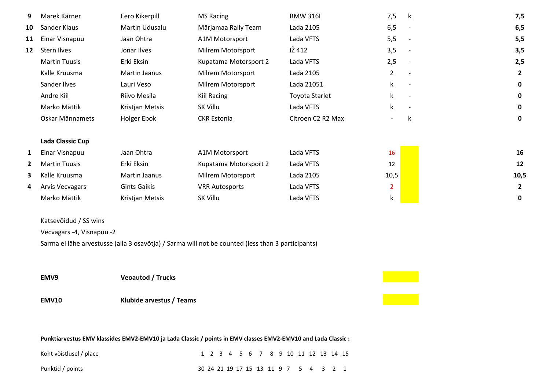| <b>Arvis Vecvagars</b><br>Marko Mättik<br>Katsevõidud / SS wins<br>Vecvagars -4, Visnapuu -2<br>EMV9<br><b>EMV10</b> | <b>Gints Gaikis</b><br>Kristjan Metsis<br><b>Veoautod / Trucks</b><br>Klubide arvestus / Teams | <b>VRR Autosports</b><br>SK Villu<br>Sarma ei lähe arvestusse (alla 3 osavõtja) / Sarma will not be counted (less than 3 participants) | Lada VFTS<br>Lada VFTS         | $\overline{2}$<br>k            |                          | $\overline{2}$<br>0 |
|----------------------------------------------------------------------------------------------------------------------|------------------------------------------------------------------------------------------------|----------------------------------------------------------------------------------------------------------------------------------------|--------------------------------|--------------------------------|--------------------------|---------------------|
|                                                                                                                      |                                                                                                |                                                                                                                                        |                                |                                |                          |                     |
|                                                                                                                      |                                                                                                |                                                                                                                                        |                                |                                |                          |                     |
|                                                                                                                      |                                                                                                |                                                                                                                                        |                                |                                |                          |                     |
|                                                                                                                      |                                                                                                |                                                                                                                                        |                                |                                |                          |                     |
|                                                                                                                      |                                                                                                |                                                                                                                                        |                                |                                |                          |                     |
|                                                                                                                      |                                                                                                |                                                                                                                                        |                                |                                |                          |                     |
|                                                                                                                      |                                                                                                |                                                                                                                                        |                                |                                |                          |                     |
| Kalle Kruusma                                                                                                        | Martin Jaanus                                                                                  | Milrem Motorsport                                                                                                                      | Lada 2105                      | 10,5                           |                          | 10,5                |
| <b>Martin Tuusis</b>                                                                                                 | Erki Eksin                                                                                     | Kupatama Motorsport 2                                                                                                                  | Lada VFTS                      | 12                             |                          | 12                  |
| Einar Visnapuu                                                                                                       | Jaan Ohtra                                                                                     | A1M Motorsport                                                                                                                         | Lada VFTS                      | 16                             |                          | 16                  |
| Lada Classic Cup                                                                                                     |                                                                                                |                                                                                                                                        |                                |                                |                          |                     |
|                                                                                                                      |                                                                                                |                                                                                                                                        |                                | $\overline{\phantom{0}}$       |                          | 0                   |
|                                                                                                                      |                                                                                                |                                                                                                                                        |                                |                                |                          | $\mathbf 0$         |
| Andre Kiil                                                                                                           | Riivo Mesila                                                                                   | <b>Kiil Racing</b>                                                                                                                     | <b>Toyota Starlet</b>          | k                              | $\overline{\phantom{a}}$ | 0                   |
| Sander Ilves                                                                                                         | Lauri Veso                                                                                     | Milrem Motorsport                                                                                                                      | Lada 21051                     | k                              |                          | 0                   |
| Kalle Kruusma                                                                                                        | Martin Jaanus                                                                                  | Milrem Motorsport                                                                                                                      | Lada 2105                      | $\overline{2}$                 |                          | $\overline{2}$      |
| <b>Martin Tuusis</b>                                                                                                 | Erki Eksin                                                                                     | Kupatama Motorsport 2                                                                                                                  | Lada VFTS                      | 2,5                            |                          | 2,5                 |
| <b>Stern Ilves</b>                                                                                                   | Jonar Ilves                                                                                    | Milrem Motorsport                                                                                                                      | IŽ 412                         | 3,5                            |                          | 3,5                 |
| Einar Visnapuu                                                                                                       | Jaan Ohtra                                                                                     | A1M Motorsport                                                                                                                         | Lada VFTS                      | 5,5                            | $\overline{\phantom{a}}$ | 5,5                 |
| Sander Klaus                                                                                                         | Martin Udusalu                                                                                 | Märjamaa Rally Team                                                                                                                    | Lada 2105                      | 6,5                            |                          | 6, 5                |
| Marek Kärner                                                                                                         | Eero Kikerpill                                                                                 | <b>MS Racing</b>                                                                                                                       | <b>BMW 316I</b>                | 7,5                            | k                        | 7,5                 |
|                                                                                                                      | Marko Mättik<br>Oskar Männamets                                                                | Kristjan Metsis<br>Holger Ebok                                                                                                         | SK Villu<br><b>CKR Estonia</b> | Lada VFTS<br>Citroen C2 R2 Max | k                        | k                   |

Punktid / points 20 24 21 19 17 15 13 11 9 7 2 3 2 1